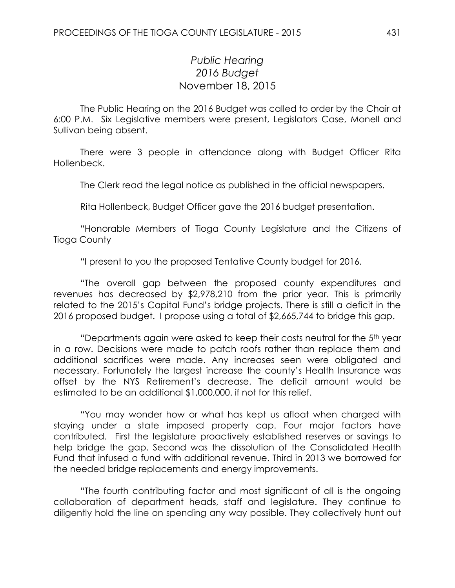## *Public Hearing 2016 Budget* November 18, 2015

The Public Hearing on the 2016 Budget was called to order by the Chair at 6:00 P.M. Six Legislative members were present, Legislators Case, Monell and Sullivan being absent.

There were 3 people in attendance along with Budget Officer Rita Hollenbeck.

The Clerk read the legal notice as published in the official newspapers.

Rita Hollenbeck, Budget Officer gave the 2016 budget presentation.

"Honorable Members of Tioga County Legislature and the Citizens of Tioga County

"I present to you the proposed Tentative County budget for 2016.

"The overall gap between the proposed county expenditures and revenues has decreased by \$2,978,210 from the prior year. This is primarily related to the 2015's Capital Fund's bridge projects. There is still a deficit in the 2016 proposed budget. I propose using a total of \$2,665,744 to bridge this gap.

"Departments again were asked to keep their costs neutral for the  $5<sup>th</sup>$  year in a row. Decisions were made to patch roofs rather than replace them and additional sacrifices were made. Any increases seen were obligated and necessary. Fortunately the largest increase the county's Health Insurance was offset by the NYS Retirement's decrease. The deficit amount would be estimated to be an additional \$1,000,000. if not for this relief.

"You may wonder how or what has kept us afloat when charged with staying under a state imposed property cap. Four major factors have contributed. First the legislature proactively established reserves or savings to help bridge the gap. Second was the dissolution of the Consolidated Health Fund that infused a fund with additional revenue. Third in 2013 we borrowed for the needed bridge replacements and energy improvements.

"The fourth contributing factor and most significant of all is the ongoing collaboration of department heads, staff and legislature. They continue to diligently hold the line on spending any way possible. They collectively hunt out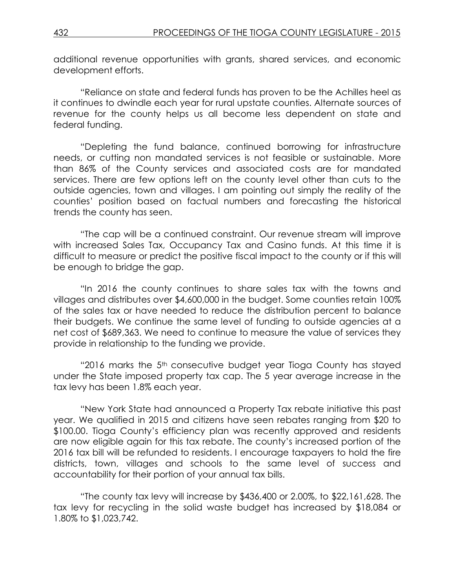additional revenue opportunities with grants, shared services, and economic development efforts.

"Reliance on state and federal funds has proven to be the Achilles heel as it continues to dwindle each year for rural upstate counties. Alternate sources of revenue for the county helps us all become less dependent on state and federal funding.

"Depleting the fund balance, continued borrowing for infrastructure needs, or cutting non mandated services is not feasible or sustainable. More than 86% of the County services and associated costs are for mandated services. There are few options left on the county level other than cuts to the outside agencies, town and villages. I am pointing out simply the reality of the counties' position based on factual numbers and forecasting the historical trends the county has seen.

"The cap will be a continued constraint. Our revenue stream will improve with increased Sales Tax, Occupancy Tax and Casino funds. At this time it is difficult to measure or predict the positive fiscal impact to the county or if this will be enough to bridge the gap.

"In 2016 the county continues to share sales tax with the towns and villages and distributes over \$4,600,000 in the budget. Some counties retain 100% of the sales tax or have needed to reduce the distribution percent to balance their budgets. We continue the same level of funding to outside agencies at a net cost of \$689,363. We need to continue to measure the value of services they provide in relationship to the funding we provide.

"2016 marks the 5<sup>th</sup> consecutive budget year Tioga County has stayed under the State imposed property tax cap. The 5 year average increase in the tax levy has been 1.8% each year.

"New York State had announced a Property Tax rebate initiative this past year. We qualified in 2015 and citizens have seen rebates ranging from \$20 to \$100.00. Tioga County's efficiency plan was recently approved and residents are now eligible again for this tax rebate. The county's increased portion of the 2016 tax bill will be refunded to residents. I encourage taxpayers to hold the fire districts, town, villages and schools to the same level of success and accountability for their portion of your annual tax bills.

"The county tax levy will increase by \$436,400 or 2.00%, to \$22,161,628. The tax levy for recycling in the solid waste budget has increased by \$18,084 or 1.80% to \$1,023,742.